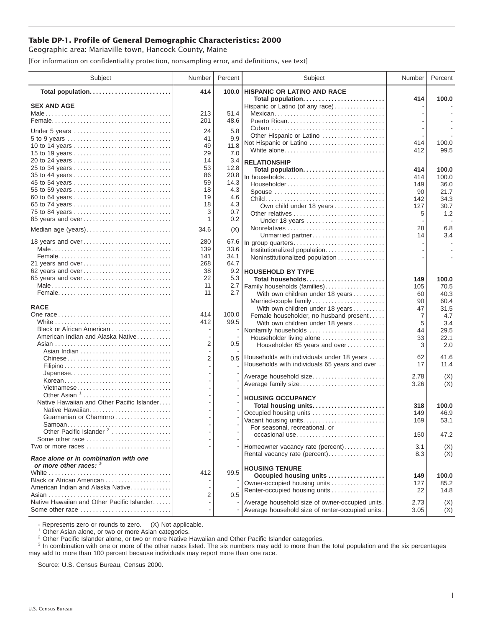## **Table DP-1. Profile of General Demographic Characteristics: 2000**

Geographic area: Mariaville town, Hancock County, Maine

[For information on confidentiality protection, nonsampling error, and definitions, see text]

| Subject                                                                | Number         | Percent    | Subject                                                   | Number     | Percent        |
|------------------------------------------------------------------------|----------------|------------|-----------------------------------------------------------|------------|----------------|
| Total population                                                       | 414            | 100.0      | <b>HISPANIC OR LATINO AND RACE</b>                        |            |                |
| <b>SEX AND AGE</b>                                                     |                |            | Total population<br>Hispanic or Latino (of any race)      | 414        | 100.0          |
|                                                                        | 213            | 51.4       | Mexican                                                   |            |                |
|                                                                        | 201            | 48.6       |                                                           |            |                |
|                                                                        |                |            |                                                           |            |                |
| Under 5 years                                                          | 24<br>41       | 5.8<br>9.9 | Other Hispanic or Latino                                  |            |                |
| 5 to 9 years<br>10 to 14 years                                         | 49             | 11.8       | Not Hispanic or Latino                                    | 414        | 100.0          |
| 15 to 19 years                                                         | 29             | 7.0        | White alone                                               | 412        | 99.5           |
| 20 to 24 years                                                         | 14             | 3.4        |                                                           |            |                |
| 25 to 34 years                                                         | 53             | 12.8       | <b>RELATIONSHIP</b><br>Total population                   |            |                |
| 35 to 44 years                                                         | 86             | 20.8       | In households                                             | 414<br>414 | 100.0<br>100.0 |
| 45 to 54 years                                                         | 59             | 14.3       | Householder                                               | 149        | 36.0           |
| 55 to 59 years                                                         | 18             | 4.3        | Spouse                                                    | 90         | 21.7           |
| 60 to 64 years                                                         | 19             | 4.6        |                                                           | 142        | 34.3           |
| 65 to 74 years                                                         | 18             | 4.3        | Own child under 18 years                                  | 127        | 30.7           |
| 75 to 84 years                                                         | 3              | 0.7        | Other relatives                                           | 5          | 1.2            |
| 85 years and over                                                      | 1              | 0.2        | Under 18 years                                            |            |                |
| Median age (years)                                                     | 34.6           | (X)        |                                                           | 28         | 6.8            |
|                                                                        |                |            | Unmarried partner                                         | 14         | 3.4            |
| 18 years and over                                                      | 280            | 67.6       | In group quarters                                         |            |                |
|                                                                        | 139            | 33.6       | Institutionalized population                              |            |                |
|                                                                        | 141            | 34.1       | Noninstitutionalized population                           |            |                |
| 21 years and over                                                      | 268            | 64.7       |                                                           |            |                |
| 62 years and over                                                      | 38             | 9.2        | <b>HOUSEHOLD BY TYPE</b>                                  |            |                |
| 65 years and over                                                      | 22             | 5.3        | Total households                                          | 149        | 100.0          |
|                                                                        | 11<br>11       | 2.7<br>2.7 | Family households (families)                              | 105        | 70.5           |
|                                                                        |                |            | With own children under 18 years                          | 60<br>90   | 40.3<br>60.4   |
| <b>RACE</b>                                                            |                |            | Married-couple family<br>With own children under 18 years | 47         | 31.5           |
|                                                                        | 414            | 100.0      | Female householder, no husband present                    | 7          | 4.7            |
|                                                                        | 412            | 99.5       | With own children under 18 years                          | 5          | 3.4            |
| Black or African American                                              |                |            | Nonfamily households                                      | 44         | 29.5           |
| American Indian and Alaska Native                                      |                |            | Householder living alone                                  | 33         | 22.1           |
|                                                                        | 2              | 0.5        | Householder 65 years and over                             | 3          | 2.0            |
|                                                                        |                |            |                                                           |            |                |
|                                                                        | $\overline{2}$ |            | 0.5 Households with individuals under 18 years            | 62         | 41.6           |
|                                                                        |                |            | Households with individuals 65 years and over             | 17         | 11.4           |
|                                                                        |                |            | Average household size                                    | 2.78       | (X)            |
| Korean                                                                 |                |            | Average family size                                       | 3.26       | (X)            |
| Vietnamese                                                             |                |            |                                                           |            |                |
| Other Asian <sup>1</sup><br>Native Hawaiian and Other Pacific Islander |                |            | <b>HOUSING OCCUPANCY</b>                                  |            |                |
| Native Hawaiian                                                        |                |            | Total housing units                                       | 318        | 100.0          |
| Guamanian or Chamorro                                                  |                |            | Occupied housing units                                    | 149        | 46.9           |
| Samoan                                                                 |                |            | Vacant housing units                                      | 169        | 53.1           |
| Other Pacific Islander <sup>2</sup>                                    |                |            | For seasonal, recreational, or                            |            |                |
| Some other race                                                        |                |            | occasional use                                            | 150        | 47.2           |
| Two or more races                                                      |                |            | Homeowner vacancy rate (percent)                          | 3.1        | (X)            |
|                                                                        |                |            | Rental vacancy rate (percent)                             | 8.3        | (X)            |
| Race alone or in combination with one                                  |                |            |                                                           |            |                |
| or more other races: 3                                                 |                | 99.5       | <b>HOUSING TENURE</b>                                     |            |                |
| Black or African American                                              | 412            |            | Occupied housing units                                    | 149        | 100.0          |
| American Indian and Alaska Native                                      |                |            | Owner-occupied housing units                              | 127        | 85.2           |
|                                                                        | 2              | 0.5        | Renter-occupied housing units                             | 22         | 14.8           |
| Native Hawaiian and Other Pacific Islander                             |                |            | Average household size of owner-occupied units.           | 2.73       | (X)            |
| Some other race                                                        |                |            | Average household size of renter-occupied units.          | 3.05       | (X)            |
|                                                                        |                |            |                                                           |            |                |

- Represents zero or rounds to zero. (X) Not applicable.<br><sup>1</sup> Other Asian alone, or two or more Asian categories.

<sup>2</sup> Other Pacific Islander alone, or two or more Native Hawaiian and Other Pacific Islander categories.<br><sup>3</sup> In combination with one or more of the other races listed. The six numbers may add to more than the total populati may add to more than 100 percent because individuals may report more than one race.

Source: U.S. Census Bureau, Census 2000.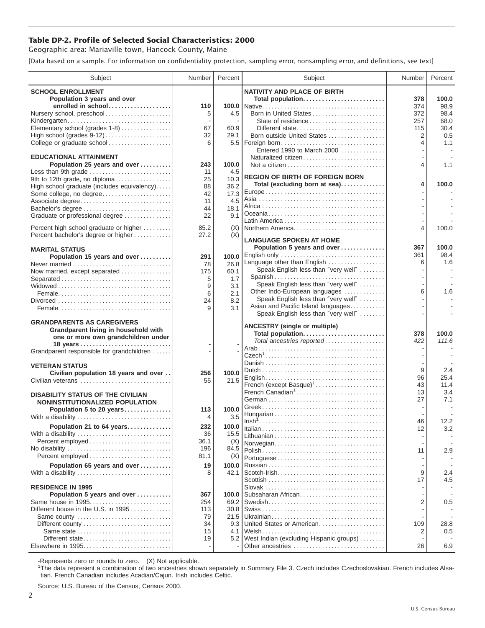## **Table DP-2. Profile of Selected Social Characteristics: 2000**

Geographic area: Mariaville town, Hancock County, Maine

[Data based on a sample. For information on confidentiality protection, sampling error, nonsampling error, and definitions, see text]

| <b>SCHOOL ENROLLMENT</b><br><b>NATIVITY AND PLACE OF BIRTH</b><br>Population 3 years and over<br>Total population<br>378<br>100.0<br>enrolled in school<br>98.9<br>110<br>374<br>Nursery school, preschool<br>5<br>4.5<br>Born in United States<br>98.4<br>372<br>68.0<br>Kindergarten<br>257<br>Elementary school (grades 1-8)<br>67<br>60.9<br>30.4<br>Different state<br>115<br>32<br>29.1<br>Born outside United States<br>2<br>0.5<br>College or graduate school<br>6<br>5.5   Foreign born<br>4<br>1.1<br>Entered 1990 to March 2000<br><b>EDUCATIONAL ATTAINMENT</b><br>Naturalized citizen<br>100.0<br>Population 25 years and over<br>243<br>1.1<br>4<br>Less than 9th grade<br>11<br>4.5<br><b>REGION OF BIRTH OF FOREIGN BORN</b><br>9th to 12th grade, no diploma<br>25<br>10.3<br>Total (excluding born at sea)<br>4<br>100.0<br>36.2<br>High school graduate (includes equivalency)<br>88<br>Some college, no degree<br>17.3<br>42<br>4.5<br>Associate degree<br>11<br>44<br>18.1<br>9.1<br>Graduate or professional degree<br>22<br>Percent high school graduate or higher<br>85.2<br>(X)<br>Northern America<br>4<br>100.0<br>Percent bachelor's degree or higher<br>27.2<br>(X)<br><b>LANGUAGE SPOKEN AT HOME</b><br>Population 5 years and over<br>367<br>100.0<br><b>MARITAL STATUS</b><br>English only<br>98.4<br>361<br>Population 15 years and over<br>100.0<br>291<br>Language other than English<br>1.6<br>6<br>26.8<br>Never married<br>78<br>Speak English less than "very well"<br>Now married, except separated<br>175<br>60.1<br>Spanish<br>5<br>1.7<br>Separated<br>Speak English less than "very well"<br>9<br>3.1<br>6<br>Other Indo-European languages<br>1.6<br>6<br>2.1<br>Speak English less than "very well"<br>8.2<br>24<br>Asian and Pacific Island languages<br>9<br>3.1<br>Speak English less than "very well"<br><b>GRANDPARENTS AS CAREGIVERS</b><br><b>ANCESTRY (single or multiple)</b><br>Grandparent living in household with<br>Total population<br>378<br>100.0<br>one or more own grandchildren under<br>Total ancestries reported<br>111.6<br>422<br>$\overline{\phantom{a}}$<br>Grandparent responsible for grandchildren<br><b>VETERAN STATUS</b><br>9<br>2.4<br>100.0<br>Civilian population 18 years and over<br>256<br>96<br>25.4<br>21.5<br>Civilian veterans<br>55<br>French (except Basque) <sup>1</sup><br>43<br>11.4<br>French Canadian <sup>1</sup><br>13<br>3.4<br><b>DISABILITY STATUS OF THE CIVILIAN</b><br>27<br>7.1<br>NONINSTITUTIONALIZED POPULATION<br>Population 5 to 20 years<br>100.0<br>113<br>With a disability<br>3.5<br>4<br>12.2<br>46<br>Population 21 to 64 years<br>100.0<br>232<br>12<br>3.2<br>36<br>15.5<br>With a disability<br>36.1<br>(X)<br>Norwegian<br>No disability<br>196<br>84.5<br>2.9<br>11<br>81.1<br>Percent employed<br>(X)<br>Population 65 years and over<br>19<br>100.0<br>9<br>$Scott$ -Irish<br>$2.4\,$<br>8<br>42.1<br>With a disability<br>17<br>4.5<br><b>RESIDENCE IN 1995</b><br>Subsaharan African<br>Population 5 years and over<br>367<br>100.0<br>2<br>Same house in 1995<br>254<br>69.2<br>$0.5\,$<br>Different house in the U.S. in 1995<br>30.8<br>113<br>Same county<br>79<br>21.5<br>United States or American<br>34<br>9.3<br>109<br>28.8<br>15<br>4.1<br>2<br>0.5<br>West Indian (excluding Hispanic groups)<br>Different state<br>19<br>5.2<br>26<br>Other ancestries<br>6.9 | Subject | Number | Percent | Subject | Number | Percent |
|-------------------------------------------------------------------------------------------------------------------------------------------------------------------------------------------------------------------------------------------------------------------------------------------------------------------------------------------------------------------------------------------------------------------------------------------------------------------------------------------------------------------------------------------------------------------------------------------------------------------------------------------------------------------------------------------------------------------------------------------------------------------------------------------------------------------------------------------------------------------------------------------------------------------------------------------------------------------------------------------------------------------------------------------------------------------------------------------------------------------------------------------------------------------------------------------------------------------------------------------------------------------------------------------------------------------------------------------------------------------------------------------------------------------------------------------------------------------------------------------------------------------------------------------------------------------------------------------------------------------------------------------------------------------------------------------------------------------------------------------------------------------------------------------------------------------------------------------------------------------------------------------------------------------------------------------------------------------------------------------------------------------------------------------------------------------------------------------------------------------------------------------------------------------------------------------------------------------------------------------------------------------------------------------------------------------------------------------------------------------------------------------------------------------------------------------------------------------------------------------------------------------------------------------------------------------------------------------------------------------------------------------------------------------------------------------------------------------------------------------------------------------------------------------------------------------------------------------------------------------------------------------------------------------------------------------------------------------------------------------------------------------------------------------------------------------------------------------------------------------------------------------------------------------------------------------------------------------------------------------------------------------------------------------------------------------------------------------------------------------------------------------------------|---------|--------|---------|---------|--------|---------|
|                                                                                                                                                                                                                                                                                                                                                                                                                                                                                                                                                                                                                                                                                                                                                                                                                                                                                                                                                                                                                                                                                                                                                                                                                                                                                                                                                                                                                                                                                                                                                                                                                                                                                                                                                                                                                                                                                                                                                                                                                                                                                                                                                                                                                                                                                                                                                                                                                                                                                                                                                                                                                                                                                                                                                                                                                                                                                                                                                                                                                                                                                                                                                                                                                                                                                                                                                                                                       |         |        |         |         |        |         |
|                                                                                                                                                                                                                                                                                                                                                                                                                                                                                                                                                                                                                                                                                                                                                                                                                                                                                                                                                                                                                                                                                                                                                                                                                                                                                                                                                                                                                                                                                                                                                                                                                                                                                                                                                                                                                                                                                                                                                                                                                                                                                                                                                                                                                                                                                                                                                                                                                                                                                                                                                                                                                                                                                                                                                                                                                                                                                                                                                                                                                                                                                                                                                                                                                                                                                                                                                                                                       |         |        |         |         |        |         |
|                                                                                                                                                                                                                                                                                                                                                                                                                                                                                                                                                                                                                                                                                                                                                                                                                                                                                                                                                                                                                                                                                                                                                                                                                                                                                                                                                                                                                                                                                                                                                                                                                                                                                                                                                                                                                                                                                                                                                                                                                                                                                                                                                                                                                                                                                                                                                                                                                                                                                                                                                                                                                                                                                                                                                                                                                                                                                                                                                                                                                                                                                                                                                                                                                                                                                                                                                                                                       |         |        |         |         |        |         |
|                                                                                                                                                                                                                                                                                                                                                                                                                                                                                                                                                                                                                                                                                                                                                                                                                                                                                                                                                                                                                                                                                                                                                                                                                                                                                                                                                                                                                                                                                                                                                                                                                                                                                                                                                                                                                                                                                                                                                                                                                                                                                                                                                                                                                                                                                                                                                                                                                                                                                                                                                                                                                                                                                                                                                                                                                                                                                                                                                                                                                                                                                                                                                                                                                                                                                                                                                                                                       |         |        |         |         |        |         |
|                                                                                                                                                                                                                                                                                                                                                                                                                                                                                                                                                                                                                                                                                                                                                                                                                                                                                                                                                                                                                                                                                                                                                                                                                                                                                                                                                                                                                                                                                                                                                                                                                                                                                                                                                                                                                                                                                                                                                                                                                                                                                                                                                                                                                                                                                                                                                                                                                                                                                                                                                                                                                                                                                                                                                                                                                                                                                                                                                                                                                                                                                                                                                                                                                                                                                                                                                                                                       |         |        |         |         |        |         |
|                                                                                                                                                                                                                                                                                                                                                                                                                                                                                                                                                                                                                                                                                                                                                                                                                                                                                                                                                                                                                                                                                                                                                                                                                                                                                                                                                                                                                                                                                                                                                                                                                                                                                                                                                                                                                                                                                                                                                                                                                                                                                                                                                                                                                                                                                                                                                                                                                                                                                                                                                                                                                                                                                                                                                                                                                                                                                                                                                                                                                                                                                                                                                                                                                                                                                                                                                                                                       |         |        |         |         |        |         |
|                                                                                                                                                                                                                                                                                                                                                                                                                                                                                                                                                                                                                                                                                                                                                                                                                                                                                                                                                                                                                                                                                                                                                                                                                                                                                                                                                                                                                                                                                                                                                                                                                                                                                                                                                                                                                                                                                                                                                                                                                                                                                                                                                                                                                                                                                                                                                                                                                                                                                                                                                                                                                                                                                                                                                                                                                                                                                                                                                                                                                                                                                                                                                                                                                                                                                                                                                                                                       |         |        |         |         |        |         |
|                                                                                                                                                                                                                                                                                                                                                                                                                                                                                                                                                                                                                                                                                                                                                                                                                                                                                                                                                                                                                                                                                                                                                                                                                                                                                                                                                                                                                                                                                                                                                                                                                                                                                                                                                                                                                                                                                                                                                                                                                                                                                                                                                                                                                                                                                                                                                                                                                                                                                                                                                                                                                                                                                                                                                                                                                                                                                                                                                                                                                                                                                                                                                                                                                                                                                                                                                                                                       |         |        |         |         |        |         |
|                                                                                                                                                                                                                                                                                                                                                                                                                                                                                                                                                                                                                                                                                                                                                                                                                                                                                                                                                                                                                                                                                                                                                                                                                                                                                                                                                                                                                                                                                                                                                                                                                                                                                                                                                                                                                                                                                                                                                                                                                                                                                                                                                                                                                                                                                                                                                                                                                                                                                                                                                                                                                                                                                                                                                                                                                                                                                                                                                                                                                                                                                                                                                                                                                                                                                                                                                                                                       |         |        |         |         |        |         |
|                                                                                                                                                                                                                                                                                                                                                                                                                                                                                                                                                                                                                                                                                                                                                                                                                                                                                                                                                                                                                                                                                                                                                                                                                                                                                                                                                                                                                                                                                                                                                                                                                                                                                                                                                                                                                                                                                                                                                                                                                                                                                                                                                                                                                                                                                                                                                                                                                                                                                                                                                                                                                                                                                                                                                                                                                                                                                                                                                                                                                                                                                                                                                                                                                                                                                                                                                                                                       |         |        |         |         |        |         |
|                                                                                                                                                                                                                                                                                                                                                                                                                                                                                                                                                                                                                                                                                                                                                                                                                                                                                                                                                                                                                                                                                                                                                                                                                                                                                                                                                                                                                                                                                                                                                                                                                                                                                                                                                                                                                                                                                                                                                                                                                                                                                                                                                                                                                                                                                                                                                                                                                                                                                                                                                                                                                                                                                                                                                                                                                                                                                                                                                                                                                                                                                                                                                                                                                                                                                                                                                                                                       |         |        |         |         |        |         |
|                                                                                                                                                                                                                                                                                                                                                                                                                                                                                                                                                                                                                                                                                                                                                                                                                                                                                                                                                                                                                                                                                                                                                                                                                                                                                                                                                                                                                                                                                                                                                                                                                                                                                                                                                                                                                                                                                                                                                                                                                                                                                                                                                                                                                                                                                                                                                                                                                                                                                                                                                                                                                                                                                                                                                                                                                                                                                                                                                                                                                                                                                                                                                                                                                                                                                                                                                                                                       |         |        |         |         |        |         |
|                                                                                                                                                                                                                                                                                                                                                                                                                                                                                                                                                                                                                                                                                                                                                                                                                                                                                                                                                                                                                                                                                                                                                                                                                                                                                                                                                                                                                                                                                                                                                                                                                                                                                                                                                                                                                                                                                                                                                                                                                                                                                                                                                                                                                                                                                                                                                                                                                                                                                                                                                                                                                                                                                                                                                                                                                                                                                                                                                                                                                                                                                                                                                                                                                                                                                                                                                                                                       |         |        |         |         |        |         |
|                                                                                                                                                                                                                                                                                                                                                                                                                                                                                                                                                                                                                                                                                                                                                                                                                                                                                                                                                                                                                                                                                                                                                                                                                                                                                                                                                                                                                                                                                                                                                                                                                                                                                                                                                                                                                                                                                                                                                                                                                                                                                                                                                                                                                                                                                                                                                                                                                                                                                                                                                                                                                                                                                                                                                                                                                                                                                                                                                                                                                                                                                                                                                                                                                                                                                                                                                                                                       |         |        |         |         |        |         |
|                                                                                                                                                                                                                                                                                                                                                                                                                                                                                                                                                                                                                                                                                                                                                                                                                                                                                                                                                                                                                                                                                                                                                                                                                                                                                                                                                                                                                                                                                                                                                                                                                                                                                                                                                                                                                                                                                                                                                                                                                                                                                                                                                                                                                                                                                                                                                                                                                                                                                                                                                                                                                                                                                                                                                                                                                                                                                                                                                                                                                                                                                                                                                                                                                                                                                                                                                                                                       |         |        |         |         |        |         |
|                                                                                                                                                                                                                                                                                                                                                                                                                                                                                                                                                                                                                                                                                                                                                                                                                                                                                                                                                                                                                                                                                                                                                                                                                                                                                                                                                                                                                                                                                                                                                                                                                                                                                                                                                                                                                                                                                                                                                                                                                                                                                                                                                                                                                                                                                                                                                                                                                                                                                                                                                                                                                                                                                                                                                                                                                                                                                                                                                                                                                                                                                                                                                                                                                                                                                                                                                                                                       |         |        |         |         |        |         |
|                                                                                                                                                                                                                                                                                                                                                                                                                                                                                                                                                                                                                                                                                                                                                                                                                                                                                                                                                                                                                                                                                                                                                                                                                                                                                                                                                                                                                                                                                                                                                                                                                                                                                                                                                                                                                                                                                                                                                                                                                                                                                                                                                                                                                                                                                                                                                                                                                                                                                                                                                                                                                                                                                                                                                                                                                                                                                                                                                                                                                                                                                                                                                                                                                                                                                                                                                                                                       |         |        |         |         |        |         |
|                                                                                                                                                                                                                                                                                                                                                                                                                                                                                                                                                                                                                                                                                                                                                                                                                                                                                                                                                                                                                                                                                                                                                                                                                                                                                                                                                                                                                                                                                                                                                                                                                                                                                                                                                                                                                                                                                                                                                                                                                                                                                                                                                                                                                                                                                                                                                                                                                                                                                                                                                                                                                                                                                                                                                                                                                                                                                                                                                                                                                                                                                                                                                                                                                                                                                                                                                                                                       |         |        |         |         |        |         |
|                                                                                                                                                                                                                                                                                                                                                                                                                                                                                                                                                                                                                                                                                                                                                                                                                                                                                                                                                                                                                                                                                                                                                                                                                                                                                                                                                                                                                                                                                                                                                                                                                                                                                                                                                                                                                                                                                                                                                                                                                                                                                                                                                                                                                                                                                                                                                                                                                                                                                                                                                                                                                                                                                                                                                                                                                                                                                                                                                                                                                                                                                                                                                                                                                                                                                                                                                                                                       |         |        |         |         |        |         |
|                                                                                                                                                                                                                                                                                                                                                                                                                                                                                                                                                                                                                                                                                                                                                                                                                                                                                                                                                                                                                                                                                                                                                                                                                                                                                                                                                                                                                                                                                                                                                                                                                                                                                                                                                                                                                                                                                                                                                                                                                                                                                                                                                                                                                                                                                                                                                                                                                                                                                                                                                                                                                                                                                                                                                                                                                                                                                                                                                                                                                                                                                                                                                                                                                                                                                                                                                                                                       |         |        |         |         |        |         |
|                                                                                                                                                                                                                                                                                                                                                                                                                                                                                                                                                                                                                                                                                                                                                                                                                                                                                                                                                                                                                                                                                                                                                                                                                                                                                                                                                                                                                                                                                                                                                                                                                                                                                                                                                                                                                                                                                                                                                                                                                                                                                                                                                                                                                                                                                                                                                                                                                                                                                                                                                                                                                                                                                                                                                                                                                                                                                                                                                                                                                                                                                                                                                                                                                                                                                                                                                                                                       |         |        |         |         |        |         |
|                                                                                                                                                                                                                                                                                                                                                                                                                                                                                                                                                                                                                                                                                                                                                                                                                                                                                                                                                                                                                                                                                                                                                                                                                                                                                                                                                                                                                                                                                                                                                                                                                                                                                                                                                                                                                                                                                                                                                                                                                                                                                                                                                                                                                                                                                                                                                                                                                                                                                                                                                                                                                                                                                                                                                                                                                                                                                                                                                                                                                                                                                                                                                                                                                                                                                                                                                                                                       |         |        |         |         |        |         |
|                                                                                                                                                                                                                                                                                                                                                                                                                                                                                                                                                                                                                                                                                                                                                                                                                                                                                                                                                                                                                                                                                                                                                                                                                                                                                                                                                                                                                                                                                                                                                                                                                                                                                                                                                                                                                                                                                                                                                                                                                                                                                                                                                                                                                                                                                                                                                                                                                                                                                                                                                                                                                                                                                                                                                                                                                                                                                                                                                                                                                                                                                                                                                                                                                                                                                                                                                                                                       |         |        |         |         |        |         |
|                                                                                                                                                                                                                                                                                                                                                                                                                                                                                                                                                                                                                                                                                                                                                                                                                                                                                                                                                                                                                                                                                                                                                                                                                                                                                                                                                                                                                                                                                                                                                                                                                                                                                                                                                                                                                                                                                                                                                                                                                                                                                                                                                                                                                                                                                                                                                                                                                                                                                                                                                                                                                                                                                                                                                                                                                                                                                                                                                                                                                                                                                                                                                                                                                                                                                                                                                                                                       |         |        |         |         |        |         |
|                                                                                                                                                                                                                                                                                                                                                                                                                                                                                                                                                                                                                                                                                                                                                                                                                                                                                                                                                                                                                                                                                                                                                                                                                                                                                                                                                                                                                                                                                                                                                                                                                                                                                                                                                                                                                                                                                                                                                                                                                                                                                                                                                                                                                                                                                                                                                                                                                                                                                                                                                                                                                                                                                                                                                                                                                                                                                                                                                                                                                                                                                                                                                                                                                                                                                                                                                                                                       |         |        |         |         |        |         |
|                                                                                                                                                                                                                                                                                                                                                                                                                                                                                                                                                                                                                                                                                                                                                                                                                                                                                                                                                                                                                                                                                                                                                                                                                                                                                                                                                                                                                                                                                                                                                                                                                                                                                                                                                                                                                                                                                                                                                                                                                                                                                                                                                                                                                                                                                                                                                                                                                                                                                                                                                                                                                                                                                                                                                                                                                                                                                                                                                                                                                                                                                                                                                                                                                                                                                                                                                                                                       |         |        |         |         |        |         |
|                                                                                                                                                                                                                                                                                                                                                                                                                                                                                                                                                                                                                                                                                                                                                                                                                                                                                                                                                                                                                                                                                                                                                                                                                                                                                                                                                                                                                                                                                                                                                                                                                                                                                                                                                                                                                                                                                                                                                                                                                                                                                                                                                                                                                                                                                                                                                                                                                                                                                                                                                                                                                                                                                                                                                                                                                                                                                                                                                                                                                                                                                                                                                                                                                                                                                                                                                                                                       |         |        |         |         |        |         |
|                                                                                                                                                                                                                                                                                                                                                                                                                                                                                                                                                                                                                                                                                                                                                                                                                                                                                                                                                                                                                                                                                                                                                                                                                                                                                                                                                                                                                                                                                                                                                                                                                                                                                                                                                                                                                                                                                                                                                                                                                                                                                                                                                                                                                                                                                                                                                                                                                                                                                                                                                                                                                                                                                                                                                                                                                                                                                                                                                                                                                                                                                                                                                                                                                                                                                                                                                                                                       |         |        |         |         |        |         |
|                                                                                                                                                                                                                                                                                                                                                                                                                                                                                                                                                                                                                                                                                                                                                                                                                                                                                                                                                                                                                                                                                                                                                                                                                                                                                                                                                                                                                                                                                                                                                                                                                                                                                                                                                                                                                                                                                                                                                                                                                                                                                                                                                                                                                                                                                                                                                                                                                                                                                                                                                                                                                                                                                                                                                                                                                                                                                                                                                                                                                                                                                                                                                                                                                                                                                                                                                                                                       |         |        |         |         |        |         |
|                                                                                                                                                                                                                                                                                                                                                                                                                                                                                                                                                                                                                                                                                                                                                                                                                                                                                                                                                                                                                                                                                                                                                                                                                                                                                                                                                                                                                                                                                                                                                                                                                                                                                                                                                                                                                                                                                                                                                                                                                                                                                                                                                                                                                                                                                                                                                                                                                                                                                                                                                                                                                                                                                                                                                                                                                                                                                                                                                                                                                                                                                                                                                                                                                                                                                                                                                                                                       |         |        |         |         |        |         |
|                                                                                                                                                                                                                                                                                                                                                                                                                                                                                                                                                                                                                                                                                                                                                                                                                                                                                                                                                                                                                                                                                                                                                                                                                                                                                                                                                                                                                                                                                                                                                                                                                                                                                                                                                                                                                                                                                                                                                                                                                                                                                                                                                                                                                                                                                                                                                                                                                                                                                                                                                                                                                                                                                                                                                                                                                                                                                                                                                                                                                                                                                                                                                                                                                                                                                                                                                                                                       |         |        |         |         |        |         |
|                                                                                                                                                                                                                                                                                                                                                                                                                                                                                                                                                                                                                                                                                                                                                                                                                                                                                                                                                                                                                                                                                                                                                                                                                                                                                                                                                                                                                                                                                                                                                                                                                                                                                                                                                                                                                                                                                                                                                                                                                                                                                                                                                                                                                                                                                                                                                                                                                                                                                                                                                                                                                                                                                                                                                                                                                                                                                                                                                                                                                                                                                                                                                                                                                                                                                                                                                                                                       |         |        |         |         |        |         |
|                                                                                                                                                                                                                                                                                                                                                                                                                                                                                                                                                                                                                                                                                                                                                                                                                                                                                                                                                                                                                                                                                                                                                                                                                                                                                                                                                                                                                                                                                                                                                                                                                                                                                                                                                                                                                                                                                                                                                                                                                                                                                                                                                                                                                                                                                                                                                                                                                                                                                                                                                                                                                                                                                                                                                                                                                                                                                                                                                                                                                                                                                                                                                                                                                                                                                                                                                                                                       |         |        |         |         |        |         |
|                                                                                                                                                                                                                                                                                                                                                                                                                                                                                                                                                                                                                                                                                                                                                                                                                                                                                                                                                                                                                                                                                                                                                                                                                                                                                                                                                                                                                                                                                                                                                                                                                                                                                                                                                                                                                                                                                                                                                                                                                                                                                                                                                                                                                                                                                                                                                                                                                                                                                                                                                                                                                                                                                                                                                                                                                                                                                                                                                                                                                                                                                                                                                                                                                                                                                                                                                                                                       |         |        |         |         |        |         |
|                                                                                                                                                                                                                                                                                                                                                                                                                                                                                                                                                                                                                                                                                                                                                                                                                                                                                                                                                                                                                                                                                                                                                                                                                                                                                                                                                                                                                                                                                                                                                                                                                                                                                                                                                                                                                                                                                                                                                                                                                                                                                                                                                                                                                                                                                                                                                                                                                                                                                                                                                                                                                                                                                                                                                                                                                                                                                                                                                                                                                                                                                                                                                                                                                                                                                                                                                                                                       |         |        |         |         |        |         |
|                                                                                                                                                                                                                                                                                                                                                                                                                                                                                                                                                                                                                                                                                                                                                                                                                                                                                                                                                                                                                                                                                                                                                                                                                                                                                                                                                                                                                                                                                                                                                                                                                                                                                                                                                                                                                                                                                                                                                                                                                                                                                                                                                                                                                                                                                                                                                                                                                                                                                                                                                                                                                                                                                                                                                                                                                                                                                                                                                                                                                                                                                                                                                                                                                                                                                                                                                                                                       |         |        |         |         |        |         |
|                                                                                                                                                                                                                                                                                                                                                                                                                                                                                                                                                                                                                                                                                                                                                                                                                                                                                                                                                                                                                                                                                                                                                                                                                                                                                                                                                                                                                                                                                                                                                                                                                                                                                                                                                                                                                                                                                                                                                                                                                                                                                                                                                                                                                                                                                                                                                                                                                                                                                                                                                                                                                                                                                                                                                                                                                                                                                                                                                                                                                                                                                                                                                                                                                                                                                                                                                                                                       |         |        |         |         |        |         |
|                                                                                                                                                                                                                                                                                                                                                                                                                                                                                                                                                                                                                                                                                                                                                                                                                                                                                                                                                                                                                                                                                                                                                                                                                                                                                                                                                                                                                                                                                                                                                                                                                                                                                                                                                                                                                                                                                                                                                                                                                                                                                                                                                                                                                                                                                                                                                                                                                                                                                                                                                                                                                                                                                                                                                                                                                                                                                                                                                                                                                                                                                                                                                                                                                                                                                                                                                                                                       |         |        |         |         |        |         |
|                                                                                                                                                                                                                                                                                                                                                                                                                                                                                                                                                                                                                                                                                                                                                                                                                                                                                                                                                                                                                                                                                                                                                                                                                                                                                                                                                                                                                                                                                                                                                                                                                                                                                                                                                                                                                                                                                                                                                                                                                                                                                                                                                                                                                                                                                                                                                                                                                                                                                                                                                                                                                                                                                                                                                                                                                                                                                                                                                                                                                                                                                                                                                                                                                                                                                                                                                                                                       |         |        |         |         |        |         |
|                                                                                                                                                                                                                                                                                                                                                                                                                                                                                                                                                                                                                                                                                                                                                                                                                                                                                                                                                                                                                                                                                                                                                                                                                                                                                                                                                                                                                                                                                                                                                                                                                                                                                                                                                                                                                                                                                                                                                                                                                                                                                                                                                                                                                                                                                                                                                                                                                                                                                                                                                                                                                                                                                                                                                                                                                                                                                                                                                                                                                                                                                                                                                                                                                                                                                                                                                                                                       |         |        |         |         |        |         |
|                                                                                                                                                                                                                                                                                                                                                                                                                                                                                                                                                                                                                                                                                                                                                                                                                                                                                                                                                                                                                                                                                                                                                                                                                                                                                                                                                                                                                                                                                                                                                                                                                                                                                                                                                                                                                                                                                                                                                                                                                                                                                                                                                                                                                                                                                                                                                                                                                                                                                                                                                                                                                                                                                                                                                                                                                                                                                                                                                                                                                                                                                                                                                                                                                                                                                                                                                                                                       |         |        |         |         |        |         |
|                                                                                                                                                                                                                                                                                                                                                                                                                                                                                                                                                                                                                                                                                                                                                                                                                                                                                                                                                                                                                                                                                                                                                                                                                                                                                                                                                                                                                                                                                                                                                                                                                                                                                                                                                                                                                                                                                                                                                                                                                                                                                                                                                                                                                                                                                                                                                                                                                                                                                                                                                                                                                                                                                                                                                                                                                                                                                                                                                                                                                                                                                                                                                                                                                                                                                                                                                                                                       |         |        |         |         |        |         |
|                                                                                                                                                                                                                                                                                                                                                                                                                                                                                                                                                                                                                                                                                                                                                                                                                                                                                                                                                                                                                                                                                                                                                                                                                                                                                                                                                                                                                                                                                                                                                                                                                                                                                                                                                                                                                                                                                                                                                                                                                                                                                                                                                                                                                                                                                                                                                                                                                                                                                                                                                                                                                                                                                                                                                                                                                                                                                                                                                                                                                                                                                                                                                                                                                                                                                                                                                                                                       |         |        |         |         |        |         |
|                                                                                                                                                                                                                                                                                                                                                                                                                                                                                                                                                                                                                                                                                                                                                                                                                                                                                                                                                                                                                                                                                                                                                                                                                                                                                                                                                                                                                                                                                                                                                                                                                                                                                                                                                                                                                                                                                                                                                                                                                                                                                                                                                                                                                                                                                                                                                                                                                                                                                                                                                                                                                                                                                                                                                                                                                                                                                                                                                                                                                                                                                                                                                                                                                                                                                                                                                                                                       |         |        |         |         |        |         |
|                                                                                                                                                                                                                                                                                                                                                                                                                                                                                                                                                                                                                                                                                                                                                                                                                                                                                                                                                                                                                                                                                                                                                                                                                                                                                                                                                                                                                                                                                                                                                                                                                                                                                                                                                                                                                                                                                                                                                                                                                                                                                                                                                                                                                                                                                                                                                                                                                                                                                                                                                                                                                                                                                                                                                                                                                                                                                                                                                                                                                                                                                                                                                                                                                                                                                                                                                                                                       |         |        |         |         |        |         |
|                                                                                                                                                                                                                                                                                                                                                                                                                                                                                                                                                                                                                                                                                                                                                                                                                                                                                                                                                                                                                                                                                                                                                                                                                                                                                                                                                                                                                                                                                                                                                                                                                                                                                                                                                                                                                                                                                                                                                                                                                                                                                                                                                                                                                                                                                                                                                                                                                                                                                                                                                                                                                                                                                                                                                                                                                                                                                                                                                                                                                                                                                                                                                                                                                                                                                                                                                                                                       |         |        |         |         |        |         |
|                                                                                                                                                                                                                                                                                                                                                                                                                                                                                                                                                                                                                                                                                                                                                                                                                                                                                                                                                                                                                                                                                                                                                                                                                                                                                                                                                                                                                                                                                                                                                                                                                                                                                                                                                                                                                                                                                                                                                                                                                                                                                                                                                                                                                                                                                                                                                                                                                                                                                                                                                                                                                                                                                                                                                                                                                                                                                                                                                                                                                                                                                                                                                                                                                                                                                                                                                                                                       |         |        |         |         |        |         |
|                                                                                                                                                                                                                                                                                                                                                                                                                                                                                                                                                                                                                                                                                                                                                                                                                                                                                                                                                                                                                                                                                                                                                                                                                                                                                                                                                                                                                                                                                                                                                                                                                                                                                                                                                                                                                                                                                                                                                                                                                                                                                                                                                                                                                                                                                                                                                                                                                                                                                                                                                                                                                                                                                                                                                                                                                                                                                                                                                                                                                                                                                                                                                                                                                                                                                                                                                                                                       |         |        |         |         |        |         |
|                                                                                                                                                                                                                                                                                                                                                                                                                                                                                                                                                                                                                                                                                                                                                                                                                                                                                                                                                                                                                                                                                                                                                                                                                                                                                                                                                                                                                                                                                                                                                                                                                                                                                                                                                                                                                                                                                                                                                                                                                                                                                                                                                                                                                                                                                                                                                                                                                                                                                                                                                                                                                                                                                                                                                                                                                                                                                                                                                                                                                                                                                                                                                                                                                                                                                                                                                                                                       |         |        |         |         |        |         |
|                                                                                                                                                                                                                                                                                                                                                                                                                                                                                                                                                                                                                                                                                                                                                                                                                                                                                                                                                                                                                                                                                                                                                                                                                                                                                                                                                                                                                                                                                                                                                                                                                                                                                                                                                                                                                                                                                                                                                                                                                                                                                                                                                                                                                                                                                                                                                                                                                                                                                                                                                                                                                                                                                                                                                                                                                                                                                                                                                                                                                                                                                                                                                                                                                                                                                                                                                                                                       |         |        |         |         |        |         |
|                                                                                                                                                                                                                                                                                                                                                                                                                                                                                                                                                                                                                                                                                                                                                                                                                                                                                                                                                                                                                                                                                                                                                                                                                                                                                                                                                                                                                                                                                                                                                                                                                                                                                                                                                                                                                                                                                                                                                                                                                                                                                                                                                                                                                                                                                                                                                                                                                                                                                                                                                                                                                                                                                                                                                                                                                                                                                                                                                                                                                                                                                                                                                                                                                                                                                                                                                                                                       |         |        |         |         |        |         |
|                                                                                                                                                                                                                                                                                                                                                                                                                                                                                                                                                                                                                                                                                                                                                                                                                                                                                                                                                                                                                                                                                                                                                                                                                                                                                                                                                                                                                                                                                                                                                                                                                                                                                                                                                                                                                                                                                                                                                                                                                                                                                                                                                                                                                                                                                                                                                                                                                                                                                                                                                                                                                                                                                                                                                                                                                                                                                                                                                                                                                                                                                                                                                                                                                                                                                                                                                                                                       |         |        |         |         |        |         |
|                                                                                                                                                                                                                                                                                                                                                                                                                                                                                                                                                                                                                                                                                                                                                                                                                                                                                                                                                                                                                                                                                                                                                                                                                                                                                                                                                                                                                                                                                                                                                                                                                                                                                                                                                                                                                                                                                                                                                                                                                                                                                                                                                                                                                                                                                                                                                                                                                                                                                                                                                                                                                                                                                                                                                                                                                                                                                                                                                                                                                                                                                                                                                                                                                                                                                                                                                                                                       |         |        |         |         |        |         |
|                                                                                                                                                                                                                                                                                                                                                                                                                                                                                                                                                                                                                                                                                                                                                                                                                                                                                                                                                                                                                                                                                                                                                                                                                                                                                                                                                                                                                                                                                                                                                                                                                                                                                                                                                                                                                                                                                                                                                                                                                                                                                                                                                                                                                                                                                                                                                                                                                                                                                                                                                                                                                                                                                                                                                                                                                                                                                                                                                                                                                                                                                                                                                                                                                                                                                                                                                                                                       |         |        |         |         |        |         |
|                                                                                                                                                                                                                                                                                                                                                                                                                                                                                                                                                                                                                                                                                                                                                                                                                                                                                                                                                                                                                                                                                                                                                                                                                                                                                                                                                                                                                                                                                                                                                                                                                                                                                                                                                                                                                                                                                                                                                                                                                                                                                                                                                                                                                                                                                                                                                                                                                                                                                                                                                                                                                                                                                                                                                                                                                                                                                                                                                                                                                                                                                                                                                                                                                                                                                                                                                                                                       |         |        |         |         |        |         |
|                                                                                                                                                                                                                                                                                                                                                                                                                                                                                                                                                                                                                                                                                                                                                                                                                                                                                                                                                                                                                                                                                                                                                                                                                                                                                                                                                                                                                                                                                                                                                                                                                                                                                                                                                                                                                                                                                                                                                                                                                                                                                                                                                                                                                                                                                                                                                                                                                                                                                                                                                                                                                                                                                                                                                                                                                                                                                                                                                                                                                                                                                                                                                                                                                                                                                                                                                                                                       |         |        |         |         |        |         |
|                                                                                                                                                                                                                                                                                                                                                                                                                                                                                                                                                                                                                                                                                                                                                                                                                                                                                                                                                                                                                                                                                                                                                                                                                                                                                                                                                                                                                                                                                                                                                                                                                                                                                                                                                                                                                                                                                                                                                                                                                                                                                                                                                                                                                                                                                                                                                                                                                                                                                                                                                                                                                                                                                                                                                                                                                                                                                                                                                                                                                                                                                                                                                                                                                                                                                                                                                                                                       |         |        |         |         |        |         |
|                                                                                                                                                                                                                                                                                                                                                                                                                                                                                                                                                                                                                                                                                                                                                                                                                                                                                                                                                                                                                                                                                                                                                                                                                                                                                                                                                                                                                                                                                                                                                                                                                                                                                                                                                                                                                                                                                                                                                                                                                                                                                                                                                                                                                                                                                                                                                                                                                                                                                                                                                                                                                                                                                                                                                                                                                                                                                                                                                                                                                                                                                                                                                                                                                                                                                                                                                                                                       |         |        |         |         |        |         |

-Represents zero or rounds to zero. (X) Not applicable. 1 The data represent a combination of two ancestries shown separately in Summary File 3. Czech includes Czechoslovakian. French includes Alsatian. French Canadian includes Acadian/Cajun. Irish includes Celtic.

Source: U.S. Bureau of the Census, Census 2000.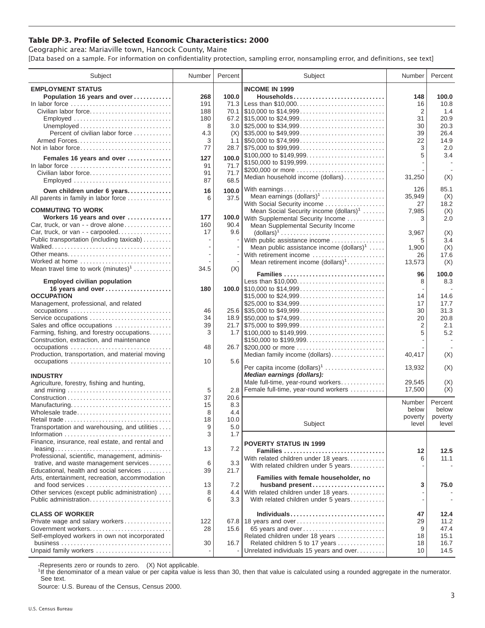## **Table DP-3. Profile of Selected Economic Characteristics: 2000**

Geographic area: Mariaville town, Hancock County, Maine [Data based on a sample. For information on confidentiality protection, sampling error, nonsampling error, and definitions, see text]

| Subject                                                                         | Number | Percent      | Subject                                                                                | Number         | Percent      |
|---------------------------------------------------------------------------------|--------|--------------|----------------------------------------------------------------------------------------|----------------|--------------|
| <b>EMPLOYMENT STATUS</b>                                                        |        |              | <b>INCOME IN 1999</b>                                                                  |                |              |
| Population 16 years and over                                                    | 268    | 100.0        | Households                                                                             | 148            | 100.0        |
| In labor force                                                                  | 191    |              | 71.3 Less than \$10,000                                                                | 16             | 10.8         |
| Civilian labor force                                                            | 188    | 70.1         |                                                                                        | $\overline{2}$ | 1.4          |
| Employed                                                                        | 180    |              |                                                                                        | 31             | 20.9         |
|                                                                                 | 8      |              |                                                                                        | 30             | 20.3         |
| Percent of civilian labor force                                                 | 4.3    |              |                                                                                        | 39             | 26.4         |
|                                                                                 | 3      |              | 1.1 $\frac{1550,000 \text{ to } $74,999 \dots  \dots  \dots  \dots }{ }$               | 22             | 14.9         |
| Not in labor force                                                              | 77     |              | 28.7 \$75,000 to \$99,999                                                              | 3              | 2.0          |
|                                                                                 |        |              | \$100,000 to \$149,999                                                                 | 5              | 3.4          |
| Females 16 years and over                                                       | 127    | 100.0        | \$150,000 to \$199,999                                                                 |                |              |
| In labor force $\ldots, \ldots, \ldots, \ldots, \ldots, \ldots, \ldots, \ldots$ | 91     | 71.7         | \$200,000 or more                                                                      |                |              |
| Civilian labor force                                                            | 91     | 71.7<br>68.5 | Median household income (dollars)                                                      | 31,250         | (X)          |
| Employed                                                                        | 87     |              |                                                                                        |                |              |
| Own children under 6 years                                                      | 16     | 100.0        | With earnings                                                                          | 126            | 85.1         |
| All parents in family in labor force                                            | 6      | 37.5         | Mean earnings (dollars) <sup>1</sup>                                                   | 35,949         | (X)          |
| <b>COMMUTING TO WORK</b>                                                        |        |              | With Social Security income                                                            | 27             | 18.2         |
|                                                                                 | 177    |              | Mean Social Security income $(dollars)^1$                                              | 7,985          | (X)          |
| Workers 16 years and over<br>Car, truck, or van - - drove alone                 | 160    | 90.4         | 100.0 With Supplemental Security Income                                                | 3              | 2.0          |
| Car, truck, or van - - carpooled                                                | 17     | 9.6          | Mean Supplemental Security Income                                                      |                |              |
| Public transportation (including taxicab)                                       |        |              | $\text{(dollars)}^1 \dots \dots \dots \dots \dots \dots \dots \dots \dots \dots \dots$ | 3,967<br>5     | (X)<br>3.4   |
|                                                                                 |        |              | With public assistance income<br>Mean public assistance income $(dollars)1$            | 1,900          | (X)          |
| Other means                                                                     |        | ÷,           | With retirement income                                                                 | 26             | 17.6         |
| Worked at home                                                                  |        |              | Mean retirement income $(dollars)1$                                                    | 13,573         | (X)          |
| Mean travel time to work $(minutes)^1$                                          | 34.5   | (X)          |                                                                                        |                |              |
|                                                                                 |        |              | Families                                                                               | 96             | 100.0        |
| <b>Employed civilian population</b>                                             |        |              | Less than \$10,000                                                                     | 8              | 8.3          |
| 16 years and over                                                               | 180    |              |                                                                                        |                |              |
| <b>OCCUPATION</b>                                                               |        |              | \$15,000 to \$24,999                                                                   | 14             | 14.6         |
| Management, professional, and related                                           |        |              |                                                                                        | 17             | 17.7         |
|                                                                                 | 46     |              |                                                                                        | 30             | 31.3         |
| Service occupations                                                             | 34     |              |                                                                                        | 20             | 20.8         |
| Sales and office occupations                                                    | 39     |              |                                                                                        | $\overline{2}$ | 2.1          |
| Farming, fishing, and forestry occupations                                      | 3      |              |                                                                                        | 5              | 5.2          |
| Construction, extraction, and maintenance                                       |        |              | \$150,000 to \$199,999                                                                 |                |              |
| occupations                                                                     | 48     |              |                                                                                        |                |              |
| Production, transportation, and material moving                                 |        |              | Median family income (dollars)                                                         | 40,417         | (X)          |
| occupations                                                                     | 10     | 5.6          | Per capita income $(dollars)1$                                                         | 13,932         | (X)          |
| <b>INDUSTRY</b>                                                                 |        |              | Median earnings (dollars):                                                             |                |              |
| Agriculture, forestry, fishing and hunting,                                     |        |              | Male full-time, year-round workers                                                     | 29.545         | (X)          |
|                                                                                 | 5      | 2.8          | Female full-time, year-round workers                                                   | 17,500         | (X)          |
|                                                                                 | 37     | 20.6         |                                                                                        |                |              |
| Manufacturing                                                                   | 15     | 8.3          |                                                                                        | Number         | Percent      |
| Wholesale trade                                                                 | 8      | 4.4          |                                                                                        | below          | below        |
| Retail trade                                                                    | 18     | 10.0         |                                                                                        | poverty        | poverty      |
| Transportation and warehousing, and utilities                                   | 9      | $5.0$        | Subject                                                                                | level          | level        |
|                                                                                 | 3      | 1.7          |                                                                                        |                |              |
| Finance, insurance, real estate, and rental and                                 |        |              | <b>POVERTY STATUS IN 1999</b>                                                          |                |              |
|                                                                                 | 13     | 7.2          | Families                                                                               | 12             | 12.5         |
| Professional, scientific, management, adminis-                                  |        |              | With related children under 18 years                                                   | 6              | 11.1         |
| trative, and waste management services                                          | 6      | 3.3          | With related children under 5 years                                                    |                |              |
| Educational, health and social services                                         | 39     | 21.7         |                                                                                        |                |              |
| Arts, entertainment, recreation, accommodation                                  |        |              | Families with female householder, no                                                   |                |              |
| and food services                                                               | 13     | 7.2          | husband present                                                                        | 3              | 75.0         |
| Other services (except public administration)                                   | 8      |              | 4.4 With related children under 18 years                                               |                |              |
| Public administration                                                           | 6      | 3.3          | With related children under 5 years                                                    |                |              |
|                                                                                 |        |              |                                                                                        |                |              |
| <b>CLASS OF WORKER</b>                                                          |        |              | Individuals                                                                            | 47             | 12.4         |
| Private wage and salary workers                                                 | 122    |              | 67.8 18 years and over                                                                 | 29             | 11.2         |
| Government workers<br>Self-employed workers in own not incorporated             | 28     | 15.6         | 65 years and over<br>Related children under 18 years                                   | 9              | 47.4<br>15.1 |
|                                                                                 | 30     | 16.7         |                                                                                        | 18             | 16.7         |
| Unpaid family workers                                                           |        |              | Related children 5 to 17 years<br>Unrelated individuals 15 years and over              | 18<br>10       | 14.5         |
|                                                                                 |        |              |                                                                                        |                |              |

-Represents zero or rounds to zero. (X) Not applicable.

<sup>1</sup>If the denominator of a mean value or per capita value is less than 30, then that value is calculated using a rounded aggregate in the numerator. See text.

Source: U.S. Bureau of the Census, Census 2000.